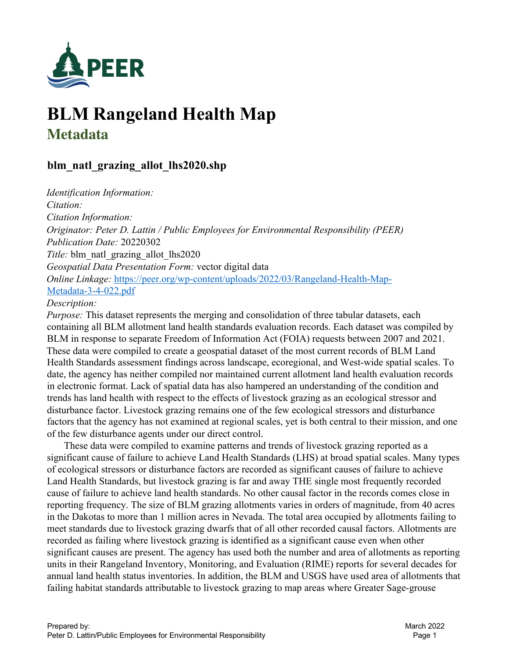

# **BLM Rangeland Health Map Metadata**

# **blm\_natl\_grazing\_allot\_lhs2020.shp**

*Identification Information: Citation: Citation Information: Originator: Peter D. Lattin / Public Employees for Environmental Responsibility (PEER) Publication Date:* 20220302 *Title:* blm\_natl\_grazing\_allot\_lhs2020 *Geospatial Data Presentation Form:* vector digital data *Online Linkage:* https://peer.org/wp-content/uploads/2022/03/Rangeland-Health-Map-Metadata-3-4-022.pdf

#### *Description:*

*Purpose:* This dataset represents the merging and consolidation of three tabular datasets, each containing all BLM allotment land health standards evaluation records. Each dataset was compiled by BLM in response to separate Freedom of Information Act (FOIA) requests between 2007 and 2021. These data were compiled to create a geospatial dataset of the most current records of BLM Land Health Standards assessment findings across landscape, ecoregional, and West-wide spatial scales. To date, the agency has neither compiled nor maintained current allotment land health evaluation records in electronic format. Lack of spatial data has also hampered an understanding of the condition and trends has land health with respect to the effects of livestock grazing as an ecological stressor and disturbance factor. Livestock grazing remains one of the few ecological stressors and disturbance factors that the agency has not examined at regional scales, yet is both central to their mission, and one of the few disturbance agents under our direct control.

 These data were compiled to examine patterns and trends of livestock grazing reported as a significant cause of failure to achieve Land Health Standards (LHS) at broad spatial scales. Many types of ecological stressors or disturbance factors are recorded as significant causes of failure to achieve Land Health Standards, but livestock grazing is far and away THE single most frequently recorded cause of failure to achieve land health standards. No other causal factor in the records comes close in reporting frequency. The size of BLM grazing allotments varies in orders of magnitude, from 40 acres in the Dakotas to more than 1 million acres in Nevada. The total area occupied by allotments failing to meet standards due to livestock grazing dwarfs that of all other recorded causal factors. Allotments are recorded as failing where livestock grazing is identified as a significant cause even when other significant causes are present. The agency has used both the number and area of allotments as reporting units in their Rangeland Inventory, Monitoring, and Evaluation (RIME) reports for several decades for annual land health status inventories. In addition, the BLM and USGS have used area of allotments that failing habitat standards attributable to livestock grazing to map areas where Greater Sage-grouse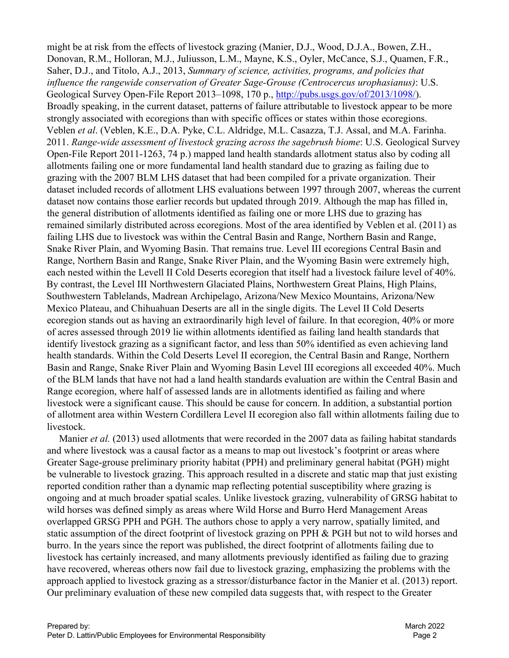might be at risk from the effects of livestock grazing (Manier, D.J., Wood, D.J.A., Bowen, Z.H., Donovan, R.M., Holloran, M.J., Juliusson, L.M., Mayne, K.S., Oyler, McCance, S.J., Quamen, F.R., Saher, D.J., and Titolo, A.J., 2013, *Summary of science, activities, programs, and policies that influence the rangewide conservation of Greater Sage-Grouse (Centrocercus urophasianus)*: U.S. Geological Survey Open-File Report 2013–1098, 170 p., http://pubs.usgs.gov/of/2013/1098/). Broadly speaking, in the current dataset, patterns of failure attributable to livestock appear to be more strongly associated with ecoregions than with specific offices or states within those ecoregions. Veblen *et al*. (Veblen, K.E., D.A. Pyke, C.L. Aldridge, M.L. Casazza, T.J. Assal, and M.A. Farinha. 2011. *Range-wide assessment of livestock grazing across the sagebrush biome*: U.S. Geological Survey Open-File Report 2011-1263, 74 p.) mapped land health standards allotment status also by coding all allotments failing one or more fundamental land health standard due to grazing as failing due to grazing with the 2007 BLM LHS dataset that had been compiled for a private organization. Their dataset included records of allotment LHS evaluations between 1997 through 2007, whereas the current dataset now contains those earlier records but updated through 2019. Although the map has filled in, the general distribution of allotments identified as failing one or more LHS due to grazing has remained similarly distributed across ecoregions. Most of the area identified by Veblen et al. (2011) as failing LHS due to livestock was within the Central Basin and Range, Northern Basin and Range, Snake River Plain, and Wyoming Basin. That remains true. Level III ecoregions Central Basin and Range, Northern Basin and Range, Snake River Plain, and the Wyoming Basin were extremely high, each nested within the Levell II Cold Deserts ecoregion that itself had a livestock failure level of 40%. By contrast, the Level III Northwestern Glaciated Plains, Northwestern Great Plains, High Plains, Southwestern Tablelands, Madrean Archipelago, Arizona/New Mexico Mountains, Arizona/New Mexico Plateau, and Chihuahuan Deserts are all in the single digits. The Level II Cold Deserts ecoregion stands out as having an extraordinarily high level of failure. In that ecoregion, 40% or more of acres assessed through 2019 lie within allotments identified as failing land health standards that identify livestock grazing as a significant factor, and less than 50% identified as even achieving land health standards. Within the Cold Deserts Level II ecoregion, the Central Basin and Range, Northern Basin and Range, Snake River Plain and Wyoming Basin Level III ecoregions all exceeded 40%. Much of the BLM lands that have not had a land health standards evaluation are within the Central Basin and Range ecoregion, where half of assessed lands are in allotments identified as failing and where livestock were a significant cause. This should be cause for concern. In addition, a substantial portion of allotment area within Western Cordillera Level II ecoregion also fall within allotments failing due to livestock.

 Manier *et al.* (2013) used allotments that were recorded in the 2007 data as failing habitat standards and where livestock was a causal factor as a means to map out livestock's footprint or areas where Greater Sage-grouse preliminary priority habitat (PPH) and preliminary general habitat (PGH) might be vulnerable to livestock grazing. This approach resulted in a discrete and static map that just existing reported condition rather than a dynamic map reflecting potential susceptibility where grazing is ongoing and at much broader spatial scales. Unlike livestock grazing, vulnerability of GRSG habitat to wild horses was defined simply as areas where Wild Horse and Burro Herd Management Areas overlapped GRSG PPH and PGH. The authors chose to apply a very narrow, spatially limited, and static assumption of the direct footprint of livestock grazing on PPH & PGH but not to wild horses and burro. In the years since the report was published, the direct footprint of allotments failing due to livestock has certainly increased, and many allotments previously identified as failing due to grazing have recovered, whereas others now fail due to livestock grazing, emphasizing the problems with the approach applied to livestock grazing as a stressor/disturbance factor in the Manier et al. (2013) report. Our preliminary evaluation of these new compiled data suggests that, with respect to the Greater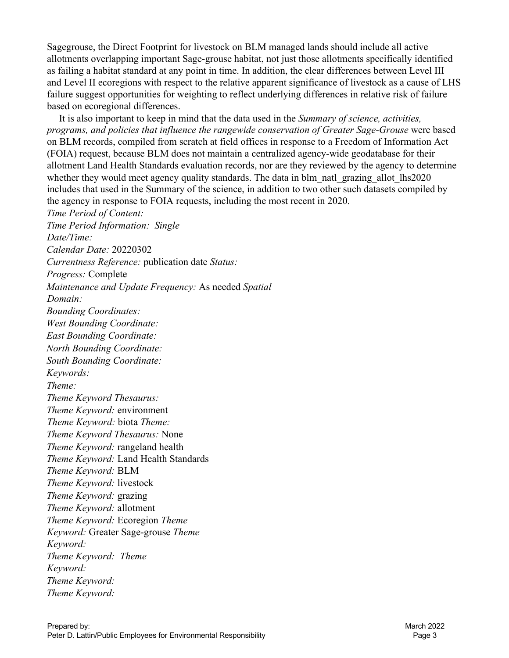Sagegrouse, the Direct Footprint for livestock on BLM managed lands should include all active allotments overlapping important Sage-grouse habitat, not just those allotments specifically identified as failing a habitat standard at any point in time. In addition, the clear differences between Level III and Level II ecoregions with respect to the relative apparent significance of livestock as a cause of LHS failure suggest opportunities for weighting to reflect underlying differences in relative risk of failure based on ecoregional differences.

 It is also important to keep in mind that the data used in the *Summary of science, activities, programs, and policies that influence the rangewide conservation of Greater Sage-Grouse* were based on BLM records, compiled from scratch at field offices in response to a Freedom of Information Act (FOIA) request, because BLM does not maintain a centralized agency-wide geodatabase for their allotment Land Health Standards evaluation records, nor are they reviewed by the agency to determine whether they would meet agency quality standards. The data in blm\_natl\_grazing\_allot\_lhs2020 includes that used in the Summary of the science, in addition to two other such datasets compiled by the agency in response to FOIA requests, including the most recent in 2020. *Time Period of Content: Time Period Information: Single Date/Time: Calendar Date:* 20220302 *Currentness Reference:* publication date *Status: Progress:* Complete *Maintenance and Update Frequency:* As needed *Spatial Domain: Bounding Coordinates: West Bounding Coordinate: East Bounding Coordinate: North Bounding Coordinate: South Bounding Coordinate: Keywords: Theme: Theme Keyword Thesaurus: Theme Keyword:* environment *Theme Keyword:* biota *Theme: Theme Keyword Thesaurus:* None *Theme Keyword:* rangeland health *Theme Keyword:* Land Health Standards *Theme Keyword:* BLM *Theme Keyword:* livestock *Theme Keyword:* grazing *Theme Keyword:* allotment *Theme Keyword:* Ecoregion *Theme Keyword:* Greater Sage-grouse *Theme Keyword: Theme Keyword: Theme Keyword: Theme Keyword: Theme Keyword:*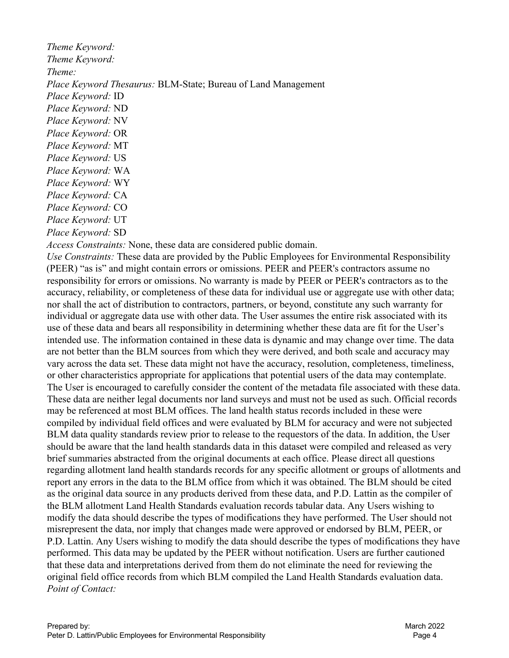*Theme Keyword: Theme Keyword: Theme: Place Keyword Thesaurus:* BLM-State; Bureau of Land Management *Place Keyword:* ID *Place Keyword:* ND *Place Keyword:* NV *Place Keyword:* OR *Place Keyword:* MT *Place Keyword:* US *Place Keyword:* WA *Place Keyword:* WY *Place Keyword:* CA *Place Keyword:* CO *Place Keyword:* UT

*Place Keyword:* SD

*Access Constraints:* None, these data are considered public domain.

*Use Constraints:* These data are provided by the Public Employees for Environmental Responsibility (PEER) "as is" and might contain errors or omissions. PEER and PEER's contractors assume no responsibility for errors or omissions. No warranty is made by PEER or PEER's contractors as to the accuracy, reliability, or completeness of these data for individual use or aggregate use with other data; nor shall the act of distribution to contractors, partners, or beyond, constitute any such warranty for individual or aggregate data use with other data. The User assumes the entire risk associated with its use of these data and bears all responsibility in determining whether these data are fit for the User's intended use. The information contained in these data is dynamic and may change over time. The data are not better than the BLM sources from which they were derived, and both scale and accuracy may vary across the data set. These data might not have the accuracy, resolution, completeness, timeliness, or other characteristics appropriate for applications that potential users of the data may contemplate. The User is encouraged to carefully consider the content of the metadata file associated with these data. These data are neither legal documents nor land surveys and must not be used as such. Official records may be referenced at most BLM offices. The land health status records included in these were compiled by individual field offices and were evaluated by BLM for accuracy and were not subjected BLM data quality standards review prior to release to the requestors of the data. In addition, the User should be aware that the land health standards data in this dataset were compiled and released as very brief summaries abstracted from the original documents at each office. Please direct all questions regarding allotment land health standards records for any specific allotment or groups of allotments and report any errors in the data to the BLM office from which it was obtained. The BLM should be cited as the original data source in any products derived from these data, and P.D. Lattin as the compiler of the BLM allotment Land Health Standards evaluation records tabular data. Any Users wishing to modify the data should describe the types of modifications they have performed. The User should not misrepresent the data, nor imply that changes made were approved or endorsed by BLM, PEER, or P.D. Lattin. Any Users wishing to modify the data should describe the types of modifications they have performed. This data may be updated by the PEER without notification. Users are further cautioned that these data and interpretations derived from them do not eliminate the need for reviewing the original field office records from which BLM compiled the Land Health Standards evaluation data. *Point of Contact:*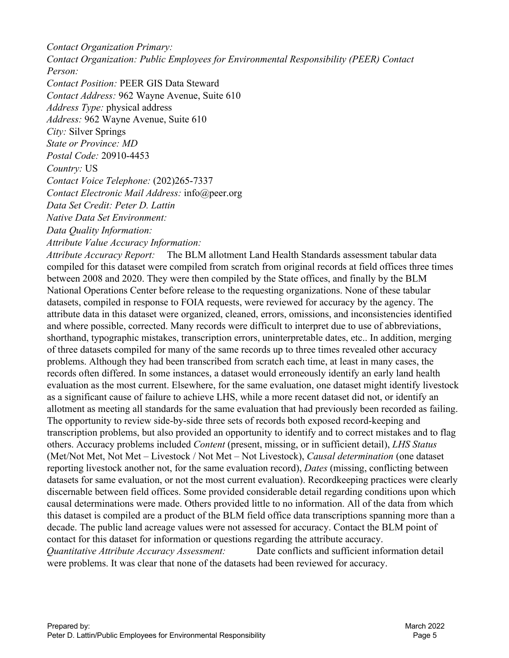*Contact Organization Primary: Contact Organization: Public Employees for Environmental Responsibility (PEER) Contact Person:* 

*Contact Position:* PEER GIS Data Steward *Contact Address:* 962 Wayne Avenue, Suite 610 *Address Type:* physical address *Address:* 962 Wayne Avenue, Suite 610 *City:* Silver Springs *State or Province: MD Postal Code:* 20910-4453 *Country:* US *Contact Voice Telephone:* (202)265-7337 *Contact Electronic Mail Address:* info@peer.org *Data Set Credit: Peter D. Lattin Native Data Set Environment:* 

*Data Quality Information:* 

*Attribute Value Accuracy Information:* 

*Attribute Accuracy Report:* The BLM allotment Land Health Standards assessment tabular data compiled for this dataset were compiled from scratch from original records at field offices three times between 2008 and 2020. They were then compiled by the State offices, and finally by the BLM National Operations Center before release to the requesting organizations. None of these tabular datasets, compiled in response to FOIA requests, were reviewed for accuracy by the agency. The attribute data in this dataset were organized, cleaned, errors, omissions, and inconsistencies identified and where possible, corrected. Many records were difficult to interpret due to use of abbreviations, shorthand, typographic mistakes, transcription errors, uninterpretable dates, etc.. In addition, merging of three datasets compiled for many of the same records up to three times revealed other accuracy problems. Although they had been transcribed from scratch each time, at least in many cases, the records often differed. In some instances, a dataset would erroneously identify an early land health evaluation as the most current. Elsewhere, for the same evaluation, one dataset might identify livestock as a significant cause of failure to achieve LHS, while a more recent dataset did not, or identify an allotment as meeting all standards for the same evaluation that had previously been recorded as failing. The opportunity to review side-by-side three sets of records both exposed record-keeping and transcription problems, but also provided an opportunity to identify and to correct mistakes and to flag others. Accuracy problems included *Content* (present, missing, or in sufficient detail), *LHS Status* (Met/Not Met, Not Met – Livestock / Not Met – Not Livestock), *Causal determination* (one dataset reporting livestock another not, for the same evaluation record), *Dates* (missing, conflicting between datasets for same evaluation, or not the most current evaluation). Recordkeeping practices were clearly discernable between field offices. Some provided considerable detail regarding conditions upon which causal determinations were made. Others provided little to no information. All of the data from which this dataset is compiled are a product of the BLM field office data transcriptions spanning more than a decade. The public land acreage values were not assessed for accuracy. Contact the BLM point of contact for this dataset for information or questions regarding the attribute accuracy. *Quantitative Attribute Accuracy Assessment:* Date conflicts and sufficient information detail were problems. It was clear that none of the datasets had been reviewed for accuracy.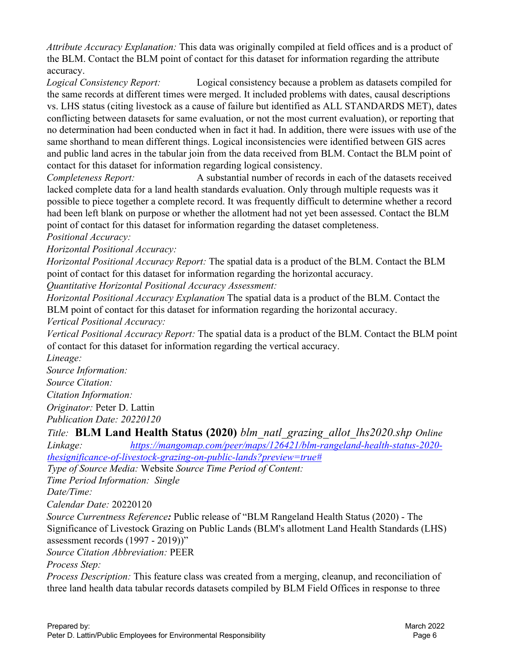*Attribute Accuracy Explanation:* This data was originally compiled at field offices and is a product of the BLM. Contact the BLM point of contact for this dataset for information regarding the attribute accuracy.

*Logical Consistency Report:* Logical consistency because a problem as datasets compiled for the same records at different times were merged. It included problems with dates, causal descriptions vs. LHS status (citing livestock as a cause of failure but identified as ALL STANDARDS MET), dates conflicting between datasets for same evaluation, or not the most current evaluation), or reporting that no determination had been conducted when in fact it had. In addition, there were issues with use of the same shorthand to mean different things. Logical inconsistencies were identified between GIS acres and public land acres in the tabular join from the data received from BLM. Contact the BLM point of contact for this dataset for information regarding logical consistency.

*Completeness Report:* A substantial number of records in each of the datasets received lacked complete data for a land health standards evaluation. Only through multiple requests was it possible to piece together a complete record. It was frequently difficult to determine whether a record had been left blank on purpose or whether the allotment had not yet been assessed. Contact the BLM point of contact for this dataset for information regarding the dataset completeness.

*Positional Accuracy:* 

*Horizontal Positional Accuracy:* 

*Horizontal Positional Accuracy Report:* The spatial data is a product of the BLM. Contact the BLM point of contact for this dataset for information regarding the horizontal accuracy.

*Quantitative Horizontal Positional Accuracy Assessment:* 

*Horizontal Positional Accuracy Explanation* The spatial data is a product of the BLM. Contact the BLM point of contact for this dataset for information regarding the horizontal accuracy.

*Vertical Positional Accuracy:* 

*Vertical Positional Accuracy Report:* The spatial data is a product of the BLM. Contact the BLM point of contact for this dataset for information regarding the vertical accuracy.

*Lineage:* 

*Source Information:* 

*Source Citation:* 

*Citation Information:* 

*Originator:* Peter D. Lattin

*Publication Date: 20220120*

*Title:* **BLM Land Health Status (2020)** *blm\_natl\_grazing\_allot\_lhs2020.shp Online Linkage: https://mangomap.com/peer/maps/126421/blm-rangeland-health-status-2020 thesignificance-of-livestock-grazing-on-public-lands?preview=true#*

*Type of Source Media:* Website *Source Time Period of Content:* 

*Time Period Information: Single* 

*Date/Time:* 

*Calendar Date:* 20220120

*Source Currentness Reference:* Public release of "BLM Rangeland Health Status (2020) - The Significance of Livestock Grazing on Public Lands (BLM's allotment Land Health Standards (LHS) assessment records (1997 - 2019))"

*Source Citation Abbreviation:* PEER

*Process Step:* 

*Process Description:* This feature class was created from a merging, cleanup, and reconciliation of three land health data tabular records datasets compiled by BLM Field Offices in response to three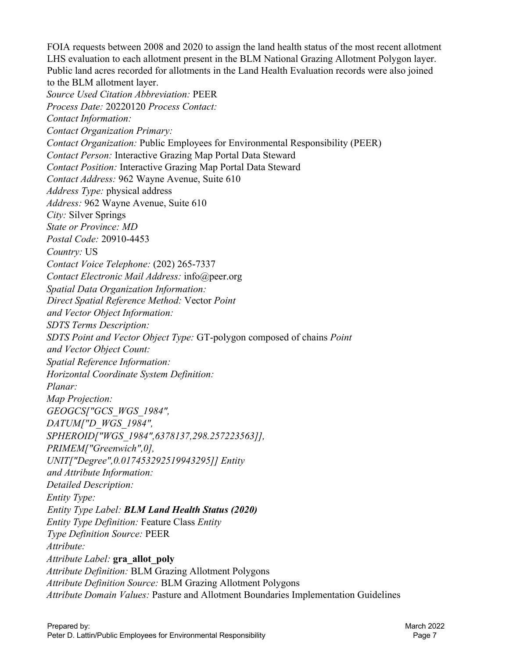FOIA requests between 2008 and 2020 to assign the land health status of the most recent allotment LHS evaluation to each allotment present in the BLM National Grazing Allotment Polygon layer. Public land acres recorded for allotments in the Land Health Evaluation records were also joined to the BLM allotment layer. *Source Used Citation Abbreviation:* PEER *Process Date:* 20220120 *Process Contact: Contact Information: Contact Organization Primary: Contact Organization:* Public Employees for Environmental Responsibility (PEER) *Contact Person:* Interactive Grazing Map Portal Data Steward *Contact Position:* Interactive Grazing Map Portal Data Steward *Contact Address:* 962 Wayne Avenue, Suite 610 *Address Type:* physical address *Address:* 962 Wayne Avenue, Suite 610 *City:* Silver Springs *State or Province: MD Postal Code:* 20910-4453 *Country:* US *Contact Voice Telephone:* (202) 265-7337 *Contact Electronic Mail Address:* info@peer.org *Spatial Data Organization Information: Direct Spatial Reference Method:* Vector *Point and Vector Object Information: SDTS Terms Description: SDTS Point and Vector Object Type:* GT-polygon composed of chains *Point and Vector Object Count: Spatial Reference Information: Horizontal Coordinate System Definition: Planar: Map Projection: GEOGCS["GCS\_WGS\_1984", DATUM["D\_WGS\_1984", SPHEROID["WGS\_1984",6378137,298.257223563]], PRIMEM["Greenwich",0], UNIT["Degree",0.017453292519943295]] Entity and Attribute Information: Detailed Description: Entity Type: Entity Type Label: BLM Land Health Status (2020) Entity Type Definition:* Feature Class *Entity Type Definition Source:* PEER *Attribute: Attribute Label:* **gra\_allot\_poly** *Attribute Definition:* BLM Grazing Allotment Polygons *Attribute Definition Source:* BLM Grazing Allotment Polygons *Attribute Domain Values:* Pasture and Allotment Boundaries Implementation Guidelines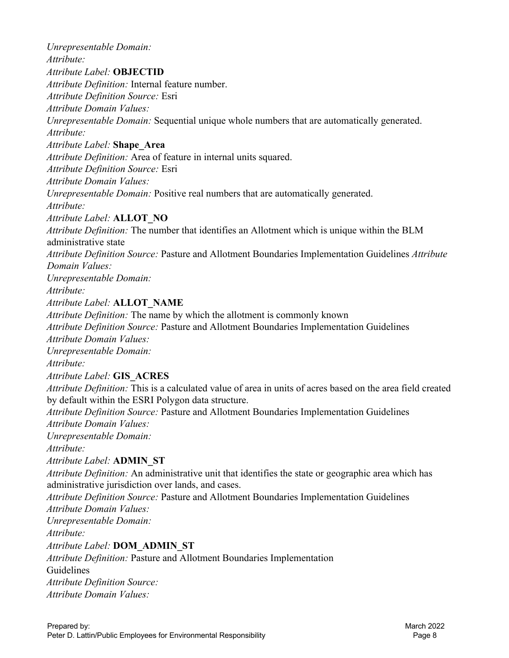*Unrepresentable Domain: Attribute: Attribute Label:* **OBJECTID** *Attribute Definition:* Internal feature number. *Attribute Definition Source:* Esri *Attribute Domain Values: Unrepresentable Domain:* Sequential unique whole numbers that are automatically generated. *Attribute: Attribute Label:* **Shape\_Area** *Attribute Definition:* Area of feature in internal units squared. *Attribute Definition Source:* Esri *Attribute Domain Values: Unrepresentable Domain:* Positive real numbers that are automatically generated. *Attribute: Attribute Label:* **ALLOT\_NO**  *Attribute Definition:* The number that identifies an Allotment which is unique within the BLM administrative state *Attribute Definition Source:* Pasture and Allotment Boundaries Implementation Guidelines *Attribute Domain Values: Unrepresentable Domain: Attribute: Attribute Label:* **ALLOT\_NAME** *Attribute Definition:* The name by which the allotment is commonly known *Attribute Definition Source:* Pasture and Allotment Boundaries Implementation Guidelines *Attribute Domain Values: Unrepresentable Domain: Attribute: Attribute Label:* **GIS\_ACRES** *Attribute Definition:* This is a calculated value of area in units of acres based on the area field created by default within the ESRI Polygon data structure. *Attribute Definition Source:* Pasture and Allotment Boundaries Implementation Guidelines *Attribute Domain Values: Unrepresentable Domain: Attribute: Attribute Label:* **ADMIN\_ST** *Attribute Definition:* An administrative unit that identifies the state or geographic area which has administrative jurisdiction over lands, and cases. *Attribute Definition Source:* Pasture and Allotment Boundaries Implementation Guidelines *Attribute Domain Values: Unrepresentable Domain: Attribute: Attribute Label:* **DOM\_ADMIN\_ST** *Attribute Definition:* Pasture and Allotment Boundaries Implementation Guidelines *Attribute Definition Source: Attribute Domain Values:*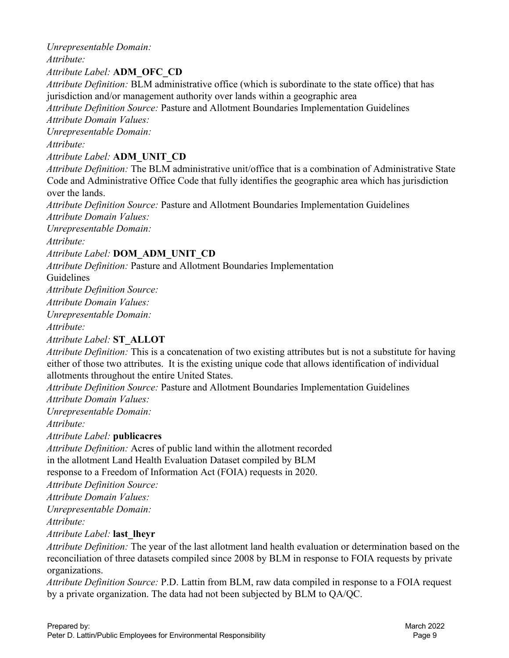*Unrepresentable Domain: Attribute: Attribute Label:* **ADM\_OFC\_CD** *Attribute Definition:* BLM administrative office (which is subordinate to the state office) that has jurisdiction and/or management authority over lands within a geographic area *Attribute Definition Source:* Pasture and Allotment Boundaries Implementation Guidelines *Attribute Domain Values: Unrepresentable Domain: Attribute: Attribute Label:* **ADM\_UNIT\_CD** *Attribute Definition:* The BLM administrative unit/office that is a combination of Administrative State Code and Administrative Office Code that fully identifies the geographic area which has jurisdiction over the lands. *Attribute Definition Source:* Pasture and Allotment Boundaries Implementation Guidelines *Attribute Domain Values: Unrepresentable Domain: Attribute: Attribute Label:* **DOM\_ADM\_UNIT\_CD** *Attribute Definition:* Pasture and Allotment Boundaries Implementation Guidelines *Attribute Definition Source: Attribute Domain Values: Unrepresentable Domain: Attribute: Attribute Label:* **ST\_ALLOT** *Attribute Definition:* This is a concatenation of two existing attributes but is not a substitute for having either of those two attributes. It is the existing unique code that allows identification of individual allotments throughout the entire United States.

*Attribute Definition Source:* Pasture and Allotment Boundaries Implementation Guidelines *Attribute Domain Values:* 

*Unrepresentable Domain:* 

*Attribute:* 

*Attribute Label:* **publicacres**

*Attribute Definition:* Acres of public land within the allotment recorded in the allotment Land Health Evaluation Dataset compiled by BLM

response to a Freedom of Information Act (FOIA) requests in 2020.

*Attribute Definition Source:* 

*Attribute Domain Values:* 

*Unrepresentable Domain:* 

*Attribute:* 

*Attribute Label:* **last\_lheyr** 

*Attribute Definition:* The year of the last allotment land health evaluation or determination based on the reconciliation of three datasets compiled since 2008 by BLM in response to FOIA requests by private organizations.

*Attribute Definition Source:* P.D. Lattin from BLM, raw data compiled in response to a FOIA request by a private organization. The data had not been subjected by BLM to QA/QC.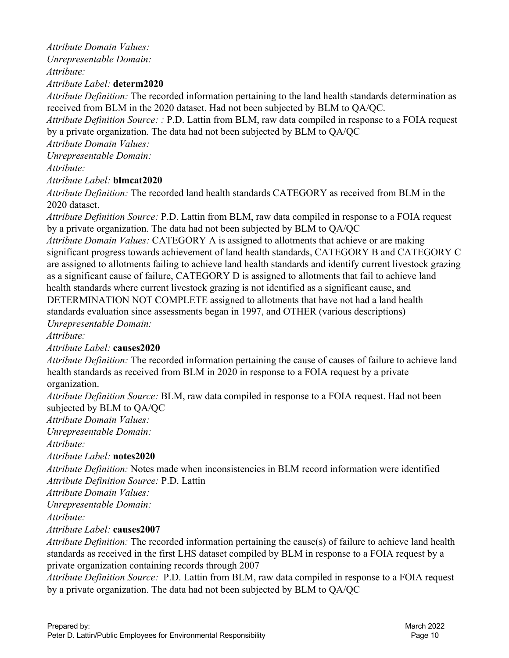*Attribute Domain Values: Unrepresentable Domain: Attribute:* 

*Attribute Label:* **determ2020**

*Attribute Definition:* The recorded information pertaining to the land health standards determination as received from BLM in the 2020 dataset. Had not been subjected by BLM to QA/QC.

*Attribute Definition Source: :* P.D. Lattin from BLM, raw data compiled in response to a FOIA request by a private organization. The data had not been subjected by BLM to QA/QC

*Attribute Domain Values:* 

*Unrepresentable Domain:* 

*Attribute:* 

*Attribute Label:* **blmcat2020** 

*Attribute Definition:* The recorded land health standards CATEGORY as received from BLM in the 2020 dataset.

*Attribute Definition Source:* P.D. Lattin from BLM, raw data compiled in response to a FOIA request by a private organization. The data had not been subjected by BLM to QA/QC

*Attribute Domain Values:* CATEGORY A is assigned to allotments that achieve or are making significant progress towards achievement of land health standards, CATEGORY B and CATEGORY C are assigned to allotments failing to achieve land health standards and identify current livestock grazing as a significant cause of failure, CATEGORY D is assigned to allotments that fail to achieve land health standards where current livestock grazing is not identified as a significant cause, and DETERMINATION NOT COMPLETE assigned to allotments that have not had a land health standards evaluation since assessments began in 1997, and OTHER (various descriptions)

*Unrepresentable Domain:* 

*Attribute:* 

*Attribute Label:* **causes2020**

*Attribute Definition:* The recorded information pertaining the cause of causes of failure to achieve land health standards as received from BLM in 2020 in response to a FOIA request by a private organization.

*Attribute Definition Source:* BLM, raw data compiled in response to a FOIA request. Had not been subjected by BLM to QA/QC

*Attribute Domain Values:* 

*Unrepresentable Domain:* 

*Attribute:* 

# *Attribute Label:* **notes2020**

*Attribute Definition:* Notes made when inconsistencies in BLM record information were identified *Attribute Definition Source:* P.D. Lattin

*Attribute Domain Values:* 

*Unrepresentable Domain:* 

*Attribute:* 

# *Attribute Label:* **causes2007**

*Attribute Definition:* The recorded information pertaining the cause(s) of failure to achieve land health standards as received in the first LHS dataset compiled by BLM in response to a FOIA request by a private organization containing records through 2007

*Attribute Definition Source:* P.D. Lattin from BLM, raw data compiled in response to a FOIA request by a private organization. The data had not been subjected by BLM to QA/QC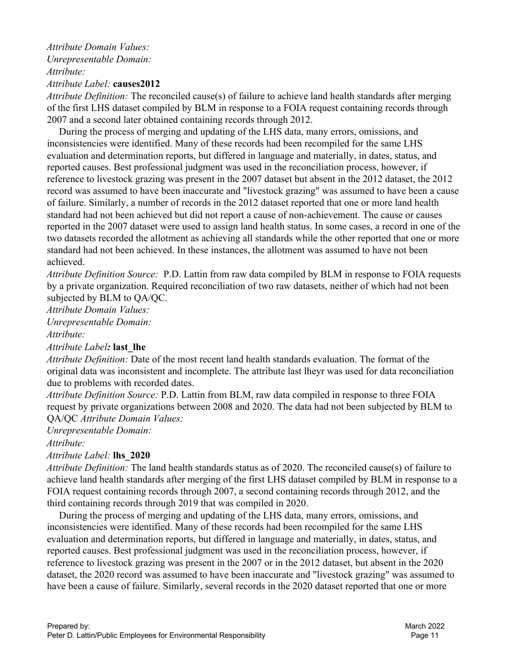#### *Attribute Domain Values: Unrepresentable Domain: Attribute: Attribute Label:* **causes2012**

*Attribute Definition:* The reconciled cause(s) of failure to achieve land health standards after merging of the first LHS dataset compiled by BLM in response to a FOIA request containing records through 2007 and a second later obtained containing records through 2012.

 During the process of merging and updating of the LHS data, many errors, omissions, and inconsistencies were identified. Many of these records had been recompiled for the same LHS evaluation and determination reports, but differed in language and materially, in dates, status, and reported causes. Best professional judgment was used in the reconciliation process, however, if reference to livestock grazing was present in the 2007 dataset but absent in the 2012 dataset, the 2012 record was assumed to have been inaccurate and "livestock grazing" was assumed to have been a cause of failure. Similarly, a number of records in the 2012 dataset reported that one or more land health standard had not been achieved but did not report a cause of non-achievement. The cause or causes reported in the 2007 dataset were used to assign land health status. In some cases, a record in one of the two datasets recorded the allotment as achieving all standards while the other reported that one or more standard had not been achieved. In these instances, the allotment was assumed to have not been achieved.

*Attribute Definition Source:* P.D. Lattin from raw data compiled by BLM in response to FOIA requests by a private organization. Required reconciliation of two raw datasets, neither of which had not been subjected by BLM to QA/QC.

*Attribute Domain Values:* 

*Unrepresentable Domain:* 

*Attribute:* 

*Attribute Label:* **last\_lhe**

*Attribute Definition:* Date of the most recent land health standards evaluation. The format of the original data was inconsistent and incomplete. The attribute last lheyr was used for data reconciliation due to problems with recorded dates.

*Attribute Definition Source:* P.D. Lattin from BLM, raw data compiled in response to three FOIA request by private organizations between 2008 and 2020. The data had not been subjected by BLM to QA/QC *Attribute Domain Values:* 

*Unrepresentable Domain:* 

*Attribute:* 

# *Attribute Label:* **lhs\_2020**

*Attribute Definition:* The land health standards status as of 2020. The reconciled cause(s) of failure to achieve land health standards after merging of the first LHS dataset compiled by BLM in response to a FOIA request containing records through 2007, a second containing records through 2012, and the third containing records through 2019 that was compiled in 2020.

 During the process of merging and updating of the LHS data, many errors, omissions, and inconsistencies were identified. Many of these records had been recompiled for the same LHS evaluation and determination reports, but differed in language and materially, in dates, status, and reported causes. Best professional judgment was used in the reconciliation process, however, if reference to livestock grazing was present in the 2007 or in the 2012 dataset, but absent in the 2020 dataset, the 2020 record was assumed to have been inaccurate and "livestock grazing" was assumed to have been a cause of failure. Similarly, several records in the 2020 dataset reported that one or more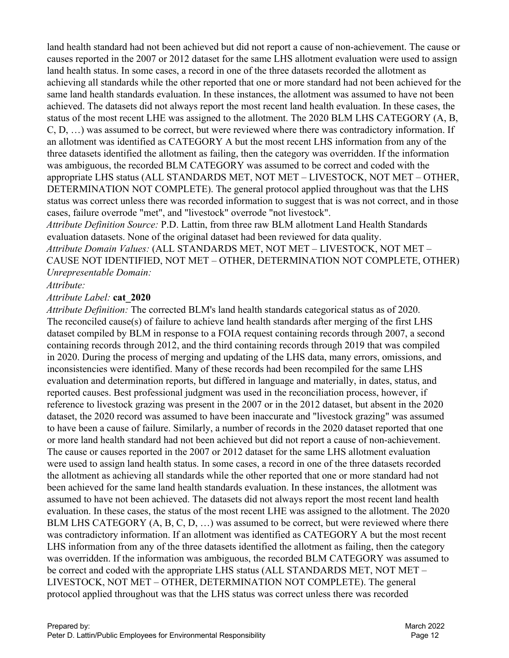land health standard had not been achieved but did not report a cause of non-achievement. The cause or causes reported in the 2007 or 2012 dataset for the same LHS allotment evaluation were used to assign land health status. In some cases, a record in one of the three datasets recorded the allotment as achieving all standards while the other reported that one or more standard had not been achieved for the same land health standards evaluation. In these instances, the allotment was assumed to have not been achieved. The datasets did not always report the most recent land health evaluation. In these cases, the status of the most recent LHE was assigned to the allotment. The 2020 BLM LHS CATEGORY (A, B, C, D, …) was assumed to be correct, but were reviewed where there was contradictory information. If an allotment was identified as CATEGORY A but the most recent LHS information from any of the three datasets identified the allotment as failing, then the category was overridden. If the information was ambiguous, the recorded BLM CATEGORY was assumed to be correct and coded with the appropriate LHS status (ALL STANDARDS MET, NOT MET – LIVESTOCK, NOT MET – OTHER, DETERMINATION NOT COMPLETE). The general protocol applied throughout was that the LHS status was correct unless there was recorded information to suggest that is was not correct, and in those cases, failure overrode "met", and "livestock" overrode "not livestock".

*Attribute Definition Source:* P.D. Lattin, from three raw BLM allotment Land Health Standards evaluation datasets. None of the original dataset had been reviewed for data quality. *Attribute Domain Values:* (ALL STANDARDS MET, NOT MET – LIVESTOCK, NOT MET – CAUSE NOT IDENTIFIED, NOT MET – OTHER, DETERMINATION NOT COMPLETE, OTHER) *Unrepresentable Domain:* 

# *Attribute:*

#### *Attribute Label:* **cat\_2020**

*Attribute Definition:* The corrected BLM's land health standards categorical status as of 2020. The reconciled cause(s) of failure to achieve land health standards after merging of the first LHS dataset compiled by BLM in response to a FOIA request containing records through 2007, a second containing records through 2012, and the third containing records through 2019 that was compiled in 2020. During the process of merging and updating of the LHS data, many errors, omissions, and inconsistencies were identified. Many of these records had been recompiled for the same LHS evaluation and determination reports, but differed in language and materially, in dates, status, and reported causes. Best professional judgment was used in the reconciliation process, however, if reference to livestock grazing was present in the 2007 or in the 2012 dataset, but absent in the 2020 dataset, the 2020 record was assumed to have been inaccurate and "livestock grazing" was assumed to have been a cause of failure. Similarly, a number of records in the 2020 dataset reported that one or more land health standard had not been achieved but did not report a cause of non-achievement. The cause or causes reported in the 2007 or 2012 dataset for the same LHS allotment evaluation were used to assign land health status. In some cases, a record in one of the three datasets recorded the allotment as achieving all standards while the other reported that one or more standard had not been achieved for the same land health standards evaluation. In these instances, the allotment was assumed to have not been achieved. The datasets did not always report the most recent land health evaluation. In these cases, the status of the most recent LHE was assigned to the allotment. The 2020 BLM LHS CATEGORY (A, B, C, D, ...) was assumed to be correct, but were reviewed where there was contradictory information. If an allotment was identified as CATEGORY A but the most recent LHS information from any of the three datasets identified the allotment as failing, then the category was overridden. If the information was ambiguous, the recorded BLM CATEGORY was assumed to be correct and coded with the appropriate LHS status (ALL STANDARDS MET, NOT MET – LIVESTOCK, NOT MET – OTHER, DETERMINATION NOT COMPLETE). The general protocol applied throughout was that the LHS status was correct unless there was recorded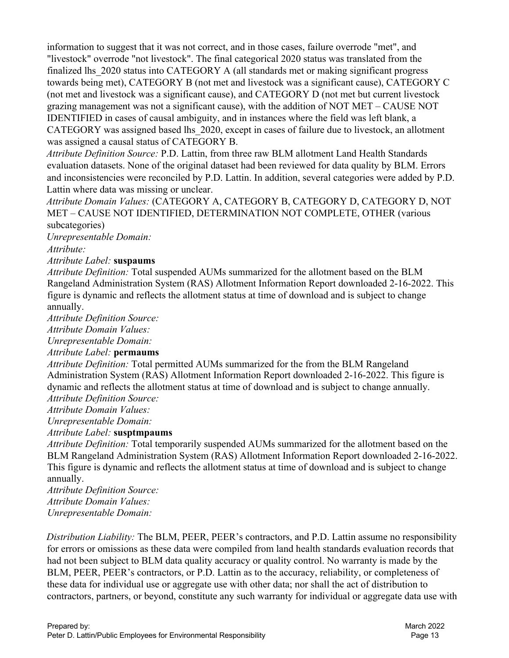information to suggest that it was not correct, and in those cases, failure overrode "met", and "livestock" overrode "not livestock". The final categorical 2020 status was translated from the finalized lhs\_2020 status into CATEGORY A (all standards met or making significant progress towards being met), CATEGORY B (not met and livestock was a significant cause), CATEGORY C (not met and livestock was a significant cause), and CATEGORY D (not met but current livestock grazing management was not a significant cause), with the addition of NOT MET – CAUSE NOT IDENTIFIED in cases of causal ambiguity, and in instances where the field was left blank, a CATEGORY was assigned based lhs\_2020, except in cases of failure due to livestock, an allotment was assigned a causal status of CATEGORY B.

*Attribute Definition Source:* P.D. Lattin, from three raw BLM allotment Land Health Standards evaluation datasets. None of the original dataset had been reviewed for data quality by BLM. Errors and inconsistencies were reconciled by P.D. Lattin. In addition, several categories were added by P.D. Lattin where data was missing or unclear.

*Attribute Domain Values:* (CATEGORY A, CATEGORY B, CATEGORY D, CATEGORY D, NOT MET – CAUSE NOT IDENTIFIED, DETERMINATION NOT COMPLETE, OTHER (various subcategories)

*Unrepresentable Domain:* 

*Attribute:* 

*Attribute Label:* **suspaums**

*Attribute Definition:* Total suspended AUMs summarized for the allotment based on the BLM Rangeland Administration System (RAS) Allotment Information Report downloaded 2-16-2022. This figure is dynamic and reflects the allotment status at time of download and is subject to change annually.

*Attribute Definition Source:* 

*Attribute Domain Values:* 

*Unrepresentable Domain:* 

#### *Attribute Label:* **permaums**

*Attribute Definition:* Total permitted AUMs summarized for the from the BLM Rangeland Administration System (RAS) Allotment Information Report downloaded 2-16-2022. This figure is dynamic and reflects the allotment status at time of download and is subject to change annually. *Attribute Definition Source:* 

*Attribute Domain Values:* 

*Unrepresentable Domain:* 

# *Attribute Label:* **susptmpaums**

*Attribute Definition:* Total temporarily suspended AUMs summarized for the allotment based on the BLM Rangeland Administration System (RAS) Allotment Information Report downloaded 2-16-2022. This figure is dynamic and reflects the allotment status at time of download and is subject to change annually.

*Attribute Definition Source: Attribute Domain Values: Unrepresentable Domain:* 

*Distribution Liability:* The BLM, PEER, PEER's contractors, and P.D. Lattin assume no responsibility for errors or omissions as these data were compiled from land health standards evaluation records that had not been subject to BLM data quality accuracy or quality control. No warranty is made by the BLM, PEER, PEER's contractors, or P.D. Lattin as to the accuracy, reliability, or completeness of these data for individual use or aggregate use with other data; nor shall the act of distribution to contractors, partners, or beyond, constitute any such warranty for individual or aggregate data use with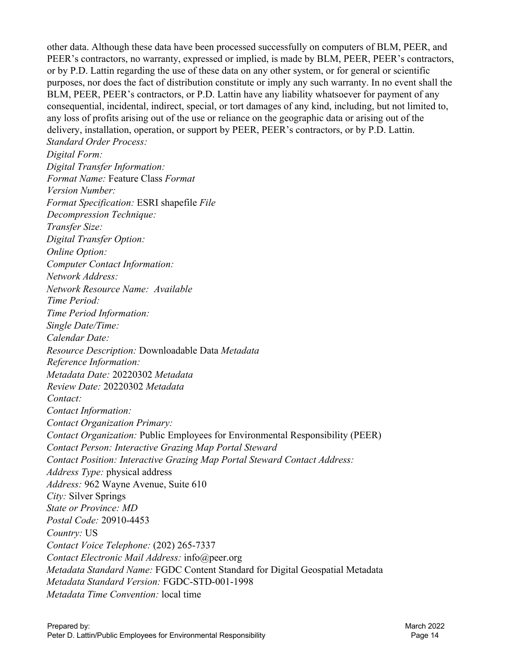other data. Although these data have been processed successfully on computers of BLM, PEER, and PEER's contractors, no warranty, expressed or implied, is made by BLM, PEER, PEER's contractors, or by P.D. Lattin regarding the use of these data on any other system, or for general or scientific purposes, nor does the fact of distribution constitute or imply any such warranty. In no event shall the BLM, PEER, PEER's contractors, or P.D. Lattin have any liability whatsoever for payment of any consequential, incidental, indirect, special, or tort damages of any kind, including, but not limited to, any loss of profits arising out of the use or reliance on the geographic data or arising out of the delivery, installation, operation, or support by PEER, PEER's contractors, or by P.D. Lattin. *Standard Order Process:* 

*Digital Form: Digital Transfer Information: Format Name:* Feature Class *Format Version Number: Format Specification:* ESRI shapefile *File Decompression Technique: Transfer Size: Digital Transfer Option: Online Option: Computer Contact Information: Network Address: Network Resource Name: Available Time Period: Time Period Information: Single Date/Time: Calendar Date: Resource Description:* Downloadable Data *Metadata Reference Information: Metadata Date:* 20220302 *Metadata Review Date:* 20220302 *Metadata Contact: Contact Information: Contact Organization Primary: Contact Organization:* Public Employees for Environmental Responsibility (PEER) *Contact Person: Interactive Grazing Map Portal Steward Contact Position: Interactive Grazing Map Portal Steward Contact Address: Address Type:* physical address *Address:* 962 Wayne Avenue, Suite 610 *City:* Silver Springs *State or Province: MD Postal Code:* 20910-4453 *Country:* US *Contact Voice Telephone:* (202) 265-7337 *Contact Electronic Mail Address:* info@peer.org *Metadata Standard Name:* FGDC Content Standard for Digital Geospatial Metadata *Metadata Standard Version:* FGDC-STD-001-1998 *Metadata Time Convention:* local time